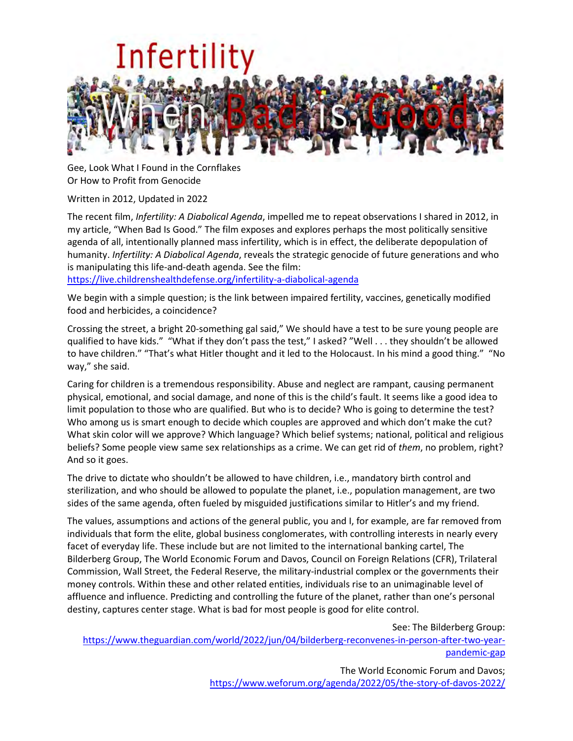

Gee, Look What I Found in the Cornflakes Or How to Profit from Genocide

Written in 2012, Updated in 2022

The recent film, *Infertility: A Diabolical Agenda*, impelled me to repeat observations I shared in 2012, in my article, "When Bad Is Good." The film exposes and explores perhaps the most politically sensitive agenda of all, intentionally planned mass infertility, which is in effect, the deliberate depopulation of humanity. *Infertility: A Diabolical Agenda*, reveals the strategic genocide of future generations and who is manipulating this life-and-death agenda. See the film:

<https://live.childrenshealthdefense.org/infertility-a-diabolical-agenda>

We begin with a simple question; is the link between impaired fertility, vaccines, genetically modified food and herbicides, a coincidence?

Crossing the street, a bright 20-something gal said," We should have a test to be sure young people are qualified to have kids." "What if they don't pass the test," I asked? "Well . . . they shouldn't be allowed to have children." "That's what Hitler thought and it led to the Holocaust. In his mind a good thing." "No way," she said.

Caring for children is a tremendous responsibility. Abuse and neglect are rampant, causing permanent physical, emotional, and social damage, and none of this is the child's fault. It seems like a good idea to limit population to those who are qualified. But who is to decide? Who is going to determine the test? Who among us is smart enough to decide which couples are approved and which don't make the cut? What skin color will we approve? Which language? Which belief systems; national, political and religious beliefs? Some people view same sex relationships as a crime. We can get rid of *them*, no problem, right? And so it goes.

The drive to dictate who shouldn't be allowed to have children, i.e., mandatory birth control and sterilization, and who should be allowed to populate the planet, i.e., population management, are two sides of the same agenda, often fueled by misguided justifications similar to Hitler's and my friend.

The values, assumptions and actions of the general public, you and I, for example, are far removed from individuals that form the elite, global business conglomerates, with controlling interests in nearly every facet of everyday life. These include but are not limited to the international banking cartel, The Bilderberg Group, The World Economic Forum and Davos, Council on Foreign Relations (CFR), Trilateral Commission, Wall Street, the Federal Reserve, the military-industrial complex or the governments their money controls. Within these and other related entities, individuals rise to an unimaginable level of affluence and influence. Predicting and controlling the future of the planet, rather than one's personal destiny, captures center stage. What is bad for most people is good for elite control.

See: The Bilderberg Group:

[https://www.theguardian.com/world/2022/jun/04/bilderberg-reconvenes-in-person-after-two-year](https://www.theguardian.com/world/2022/jun/04/bilderberg-reconvenes-in-person-after-two-year-pandemic-gap)[pandemic-gap](https://www.theguardian.com/world/2022/jun/04/bilderberg-reconvenes-in-person-after-two-year-pandemic-gap)

> The World Economic Forum and Davos; <https://www.weforum.org/agenda/2022/05/the-story-of-davos-2022/>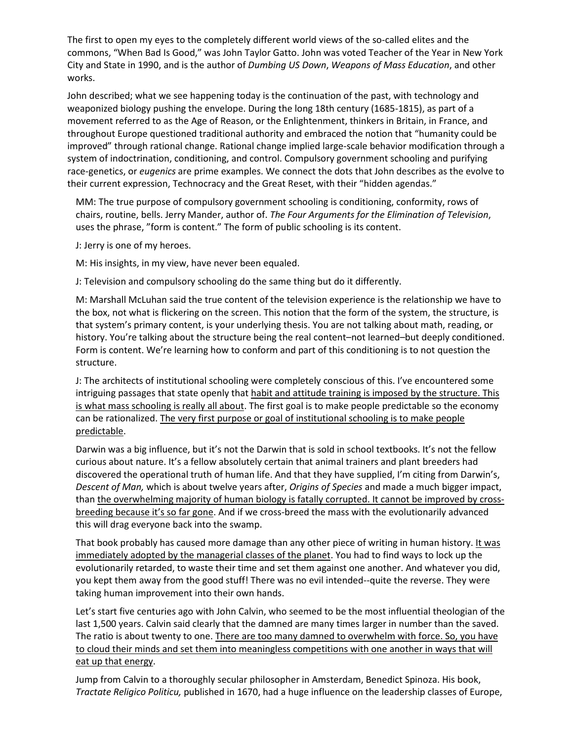The first to open my eyes to the completely different world views of the so-called elites and the commons, "When Bad Is Good," was John Taylor Gatto. John was voted Teacher of the Year in New York City and State in 1990, and is the author of *Dumbing US Down*, *Weapons of Mass Education*, and other works.

John described; what we see happening today is the continuation of the past, with technology and weaponized biology pushing the envelope. During the long 18th century (1685-1815), as part of a movement referred to as the Age of Reason, or the Enlightenment, thinkers in Britain, in France, and throughout Europe questioned traditional authority and embraced the notion that "humanity could be improved" through rational change. Rational change implied large-scale behavior modification through a system of indoctrination, conditioning, and control. Compulsory government schooling and purifying race-genetics, or *eugenics* are prime examples. We connect the dots that John describes as the evolve to their current expression, Technocracy and the Great Reset, with their "hidden agendas."

MM: The true purpose of compulsory government schooling is conditioning, conformity, rows of chairs, routine, bells. Jerry Mander, author of. *The Four Arguments for the Elimination of Television*, uses the phrase, "form is content." The form of public schooling is its content.

J: Jerry is one of my heroes.

M: His insights, in my view, have never been equaled.

J: Television and compulsory schooling do the same thing but do it differently.

M: Marshall McLuhan said the true content of the television experience is the relationship we have to the box, not what is flickering on the screen. This notion that the form of the system, the structure, is that system's primary content, is your underlying thesis. You are not talking about math, reading, or history. You're talking about the structure being the real content–not learned–but deeply conditioned. Form is content. We're learning how to conform and part of this conditioning is to not question the structure.

J: The architects of institutional schooling were completely conscious of this. I've encountered some intriguing passages that state openly that habit and attitude training is imposed by the structure. This is what mass schooling is really all about. The first goal is to make people predictable so the economy can be rationalized. The very first purpose or goal of institutional schooling is to make people predictable.

Darwin was a big influence, but it's not the Darwin that is sold in school textbooks. It's not the fellow curious about nature. It's a fellow absolutely certain that animal trainers and plant breeders had discovered the operational truth of human life. And that they have supplied, I'm citing from Darwin's, *Descent of Man,* which is about twelve years after, *Origins of Species* and made a much bigger impact, than the overwhelming majority of human biology is fatally corrupted. It cannot be improved by crossbreeding because it's so far gone. And if we cross-breed the mass with the evolutionarily advanced this will drag everyone back into the swamp.

That book probably has caused more damage than any other piece of writing in human history. It was immediately adopted by the managerial classes of the planet. You had to find ways to lock up the evolutionarily retarded, to waste their time and set them against one another. And whatever you did, you kept them away from the good stuff! There was no evil intended--quite the reverse. They were taking human improvement into their own hands.

Let's start five centuries ago with John Calvin, who seemed to be the most influential theologian of the last 1,500 years. Calvin said clearly that the damned are many times larger in number than the saved. The ratio is about twenty to one. There are too many damned to overwhelm with force. So, you have to cloud their minds and set them into meaningless competitions with one another in ways that will eat up that energy.

Jump from Calvin to a thoroughly secular philosopher in Amsterdam, Benedict Spinoza. His book, *Tractate Religico Politicu,* published in 1670, had a huge influence on the leadership classes of Europe,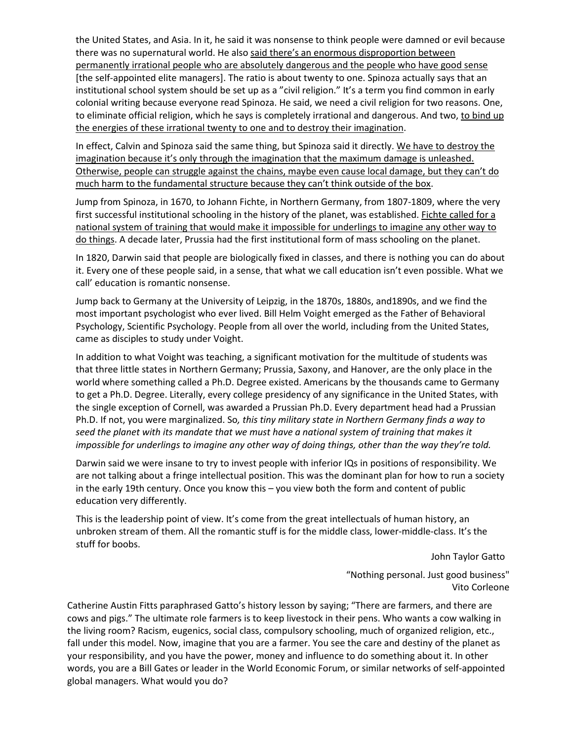the United States, and Asia. In it, he said it was nonsense to think people were damned or evil because there was no supernatural world. He also said there's an enormous disproportion between permanently irrational people who are absolutely dangerous and the people who have good sense [the self-appointed elite managers]. The ratio is about twenty to one. Spinoza actually says that an institutional school system should be set up as a "civil religion." It's a term you find common in early colonial writing because everyone read Spinoza. He said, we need a civil religion for two reasons. One, to eliminate official religion, which he says is completely irrational and dangerous. And two, to bind up the energies of these irrational twenty to one and to destroy their imagination.

In effect, Calvin and Spinoza said the same thing, but Spinoza said it directly. We have to destroy the imagination because it's only through the imagination that the maximum damage is unleashed. Otherwise, people can struggle against the chains, maybe even cause local damage, but they can't do much harm to the fundamental structure because they can't think outside of the box.

Jump from Spinoza, in 1670, to Johann Fichte, in Northern Germany, from 1807-1809, where the very first successful institutional schooling in the history of the planet, was established. Fichte called for a national system of training that would make it impossible for underlings to imagine any other way to do things. A decade later, Prussia had the first institutional form of mass schooling on the planet.

In 1820, Darwin said that people are biologically fixed in classes, and there is nothing you can do about it. Every one of these people said, in a sense, that what we call education isn't even possible. What we call' education is romantic nonsense.

Jump back to Germany at the University of Leipzig, in the 1870s, 1880s, and1890s, and we find the most important psychologist who ever lived. Bill Helm Voight emerged as the Father of Behavioral Psychology, Scientific Psychology. People from all over the world, including from the United States, came as disciples to study under Voight.

In addition to what Voight was teaching, a significant motivation for the multitude of students was that three little states in Northern Germany; Prussia, Saxony, and Hanover, are the only place in the world where something called a Ph.D. Degree existed. Americans by the thousands came to Germany to get a Ph.D. Degree. Literally, every college presidency of any significance in the United States, with the single exception of Cornell, was awarded a Prussian Ph.D. Every department head had a Prussian Ph.D. If not, you were marginalized. So*, this tiny military state in Northern Germany finds a way to seed the planet with its mandate that we must have a national system of training that makes it impossible for underlings to imagine any other way of doing things, other than the way they're told.*

Darwin said we were insane to try to invest people with inferior IQs in positions of responsibility. We are not talking about a fringe intellectual position. This was the dominant plan for how to run a society in the early 19th century. Once you know this – you view both the form and content of public education very differently.

This is the leadership point of view. It's come from the great intellectuals of human history, an unbroken stream of them. All the romantic stuff is for the middle class, lower-middle-class. It's the stuff for boobs.

John Taylor Gatto

"Nothing personal. Just good business" Vito Corleone

Catherine Austin Fitts paraphrased Gatto's history lesson by saying; "There are farmers, and there are cows and pigs." The ultimate role farmers is to keep livestock in their pens. Who wants a cow walking in the living room? Racism, eugenics, social class, compulsory schooling, much of organized religion, etc., fall under this model. Now, imagine that you are a farmer. You see the care and destiny of the planet as your responsibility, and you have the power, money and influence to do something about it. In other words, you are a Bill Gates or leader in the World Economic Forum, or similar networks of self-appointed global managers. What would you do?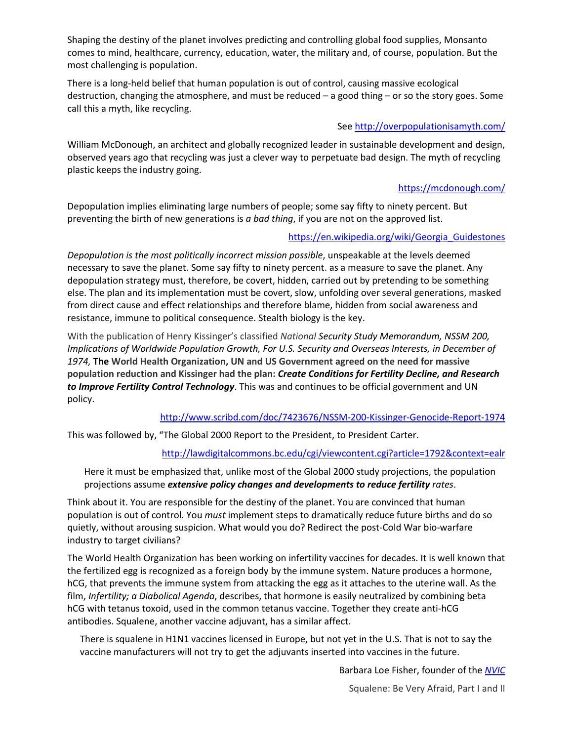Shaping the destiny of the planet involves predicting and controlling global food supplies, Monsanto comes to mind, healthcare, currency, education, water, the military and, of course, population. But the most challenging is population.

There is a long-held belief that human population is out of control, causing massive ecological destruction, changing the atmosphere, and must be reduced – a good thing – or so the story goes. Some call this a myth, like recycling.

## See<http://overpopulationisamyth.com/>

William McDonough, an architect and globally recognized leader in sustainable development and design, observed years ago that recycling was just a clever way to perpetuate bad design. The myth of recycling plastic keeps the industry going.

### <https://mcdonough.com/>

Depopulation implies eliminating large numbers of people; some say fifty to ninety percent. But preventing the birth of new generations is *a bad thing*, if you are not on the approved list.

#### [https://en.wikipedia.org/wiki/Georgia\\_Guidestones](https://en.wikipedia.org/wiki/Georgia_Guidestones)

*Depopulation is the most politically incorrect mission possible*, unspeakable at the levels deemed necessary to save the planet. Some say fifty to ninety percent. as a measure to save the planet. Any depopulation strategy must, therefore, be covert, hidden, carried out by pretending to be something else. The plan and its implementation must be covert, slow, unfolding over several generations, masked from direct cause and effect relationships and therefore blame, hidden from social awareness and resistance, immune to political consequence. Stealth biology is the key.

With the publication of Henry Kissinger's classified *National Security Study Memorandum, NSSM 200, Implications of Worldwide Population Growth, For U.S. Security and Overseas Interests, in December of 1974,* **The World Health Organization, UN and US Government agreed on the need for massive population reduction and Kissinger had the plan:** *Create Conditions for Fertility Decline, and Research to Improve Fertility Control Technology*. This was and continues to be official government and UN policy.

<http://www.scribd.com/doc/7423676/NSSM-200-Kissinger-Genocide-Report-1974>

This was followed by, "The Global 2000 Report to the President, to President Carter.

# <http://lawdigitalcommons.bc.edu/cgi/viewcontent.cgi?article=1792&context=ealr>

Here it must be emphasized that, unlike most of the Global 2000 study projections, the population projections assume *extensive policy changes and developments to reduce fertility rates*.

Think about it. You are responsible for the destiny of the planet. You are convinced that human population is out of control. You *must* implement steps to dramatically reduce future births and do so quietly, without arousing suspicion. What would you do? Redirect the post-Cold War bio-warfare industry to target civilians?

The World Health Organization has been working on infertility vaccines for decades. It is well known that the fertilized egg is recognized as a foreign body by the immune system. Nature produces a hormone, hCG, that prevents the immune system from attacking the egg as it attaches to the uterine wall. As the film, *Infertility; a Diabolical Agenda*, describes, that hormone is easily neutralized by combining beta hCG with tetanus toxoid, used in the common tetanus vaccine. Together they create anti-hCG antibodies. Squalene, another vaccine adjuvant, has a similar affect.

There is squalene in H1N1 vaccines licensed in Europe, but not yet in the U.S. That is not to say the vaccine manufacturers will not try to get the adjuvants inserted into vaccines in the future.

Barbara Loe Fisher, founder of the *[NVIC](http://www.nvic.org/)*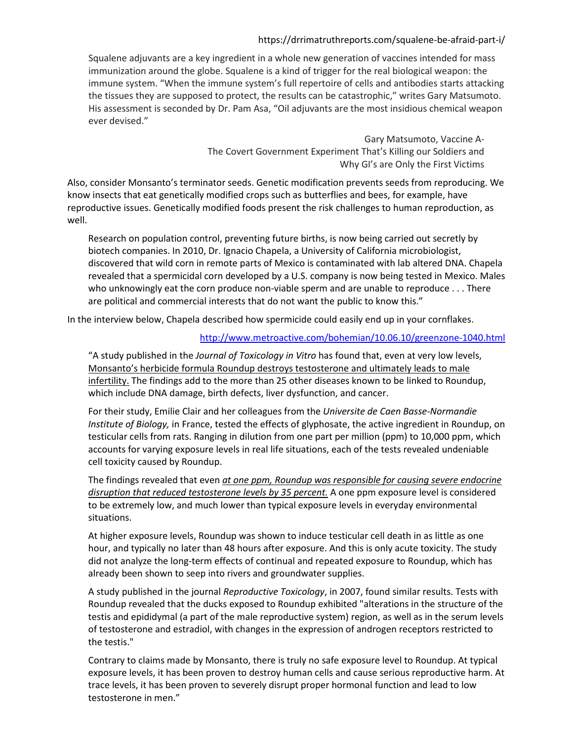## https://drrimatruthreports.com/squalene-be-afraid-part-i/

Squalene adjuvants are a key ingredient in a whole new generation of vaccines intended for mass immunization around the globe. Squalene is a kind of trigger for the real biological weapon: the immune system. "When the immune system's full repertoire of cells and antibodies starts attacking the tissues they are supposed to protect, the results can be catastrophic," writes Gary Matsumoto. His assessment is seconded by Dr. Pam Asa, "Oil adjuvants are the most insidious chemical weapon ever devised."

> Gary Matsumoto, Vaccine A-The Covert Government Experiment That's Killing our Soldiers and Why GI's are Only the First Victims

Also, consider Monsanto's terminator seeds. Genetic modification prevents seeds from reproducing. We know insects that eat genetically modified crops such as butterflies and bees, for example, have reproductive issues. Genetically modified foods present the risk challenges to human reproduction, as well.

Research on population control, preventing future births, is now being carried out secretly by biotech companies. In 2010, Dr. Ignacio Chapela, a University of California microbiologist, discovered that wild corn in remote parts of Mexico is contaminated with lab altered DNA. Chapela revealed that a spermicidal corn developed by a U.S. company is now being tested in Mexico. Males who unknowingly eat the corn produce non-viable sperm and are unable to reproduce . . . There are political and commercial interests that do not want the public to know this."

In the interview below, Chapela described how spermicide could easily end up in your cornflakes.

### <http://www.metroactive.com/bohemian/10.06.10/greenzone-1040.html>

"A study published in the *Journal of Toxicology in Vitro* has found that, even at very low levels, Monsanto's herbicide formula Roundup destroys testosterone and ultimately leads to male infertility. The findings add to the more than 25 other diseases known to be linked to Roundup, which include DNA damage, birth defects, liver dysfunction, and cancer.

For their study, Emilie Clair and her colleagues from the *Universite de Caen Basse-Normandie Institute of Biology,* in France, tested the effects of glyphosate, the active ingredient in Roundup, on testicular cells from rats. Ranging in dilution from one part per million (ppm) to 10,000 ppm, which accounts for varying exposure levels in real life situations, each of the tests revealed undeniable cell toxicity caused by Roundup.

The findings revealed that even *at one ppm, Roundup was responsible for causing severe endocrine disruption that reduced testosterone levels by 35 percent.* A one ppm exposure level is considered to be extremely low, and much lower than typical exposure levels in everyday environmental situations.

At higher exposure levels, Roundup was shown to induce testicular cell death in as little as one hour, and typically no later than 48 hours after exposure. And this is only acute toxicity. The study did not analyze the long-term effects of continual and repeated exposure to Roundup, which has already been shown to seep into rivers and groundwater supplies.

A study published in the journal *Reproductive Toxicology*, in 2007, found similar results. Tests with Roundup revealed that the ducks exposed to Roundup exhibited "alterations in the structure of the testis and epididymal (a part of the male reproductive system) region, as well as in the serum levels of testosterone and estradiol, with changes in the expression of androgen receptors restricted to the testis."

Contrary to claims made by Monsanto, there is truly no safe exposure level to Roundup. At typical exposure levels, it has been proven to destroy human cells and cause serious reproductive harm. At trace levels, it has been proven to severely disrupt proper hormonal function and lead to low testosterone in men."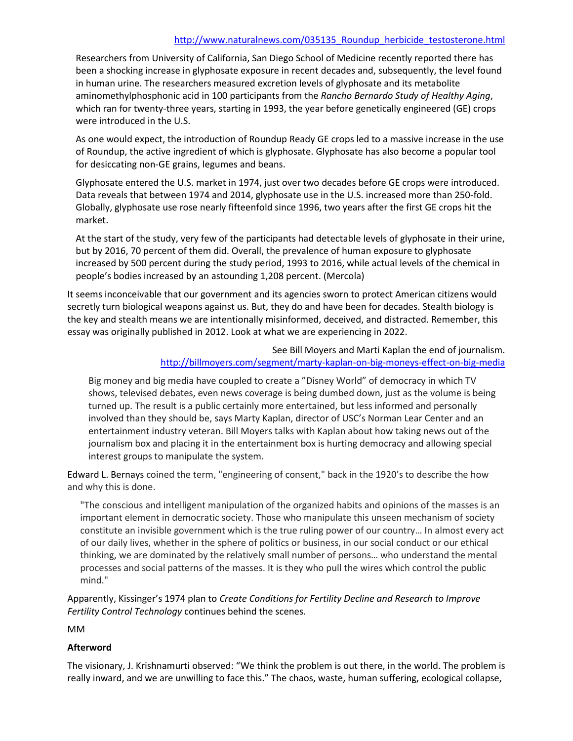#### [http://www.naturalnews.com/035135\\_Roundup\\_herbicide\\_testosterone.html](http://www.naturalnews.com/035135_Roundup_herbicide_testosterone.html)

Researchers from University of California, San Diego School of Medicine recently reported there has been a shocking increase in glyphosate exposure in recent decades and, subsequently, the level found in human urine. The researchers measured excretion levels of glyphosate and its metabolite aminomethylphosphonic acid in 100 participants from the *Rancho Bernardo Study of Healthy Aging*, which ran for twenty-three years, starting in 1993, the year before genetically engineered (GE) crops were introduced in the U.S.

As one would expect, the introduction of Roundup Ready GE crops led to a massive increase in the use of Roundup, the active ingredient of which is glyphosate. Glyphosate has also become a popular tool for desiccating non-GE grains, legumes and beans.

Glyphosate entered the U.S. market in 1974, just over two decades before GE crops were introduced. Data reveals that between 1974 and 2014, glyphosate use in the U.S. increased more than 250-fold. Globally, glyphosate use rose nearly fifteenfold since 1996, two years after the first GE crops hit the market.

At the start of the study, very few of the participants had detectable levels of glyphosate in their urine, but by 2016, 70 percent of them did. Overall, the prevalence of human exposure to glyphosate increased by 500 percent during the study period, 1993 to 2016, while actual levels of the chemical in people's bodies increased by an astounding 1,208 percent. (Mercola)

It seems inconceivable that our government and its agencies sworn to protect American citizens would secretly turn biological weapons against us. But, they do and have been for decades. Stealth biology is the key and stealth means we are intentionally misinformed, deceived, and distracted. Remember, this essay was originally published in 2012. Look at what we are experiencing in 2022.

> See Bill Moyers and Marti Kaplan the end of journalism. <http://billmoyers.com/segment/marty-kaplan-on-big-moneys-effect-on-big-media>

Big money and big media have coupled to create a "Disney World" of democracy in which TV shows, televised debates, even news coverage is being dumbed down, just as the volume is being turned up. The result is a public certainly more entertained, but less informed and personally involved than they should be, says Marty Kaplan, director of USC's Norman Lear Center and an entertainment industry veteran. Bill Moyers talks with Kaplan about how taking news out of the journalism box and placing it in the entertainment box is hurting democracy and allowing special interest groups to manipulate the system.

Edward L. Bernays coined the term, "engineering of consent," back in the 1920's to describe the how and why this is done.

"The conscious and intelligent manipulation of the organized habits and opinions of the masses is an important element in democratic society. Those who manipulate this unseen mechanism of society constitute an invisible government which is the true ruling power of our country… In almost every act of our daily lives, whether in the sphere of politics or business, in our social conduct or our ethical thinking, we are dominated by the relatively small number of persons… who understand the mental processes and social patterns of the masses. It is they who pull the wires which control the public mind."

Apparently, Kissinger's 1974 plan to *Create Conditions for Fertility Decline and Research to Improve Fertility Control Technology* continues behind the scenes.

MM

#### **Afterword**

The visionary, J. Krishnamurti observed: "We think the problem is out there, in the world. The problem is really inward, and we are unwilling to face this." The chaos, waste, human suffering, ecological collapse,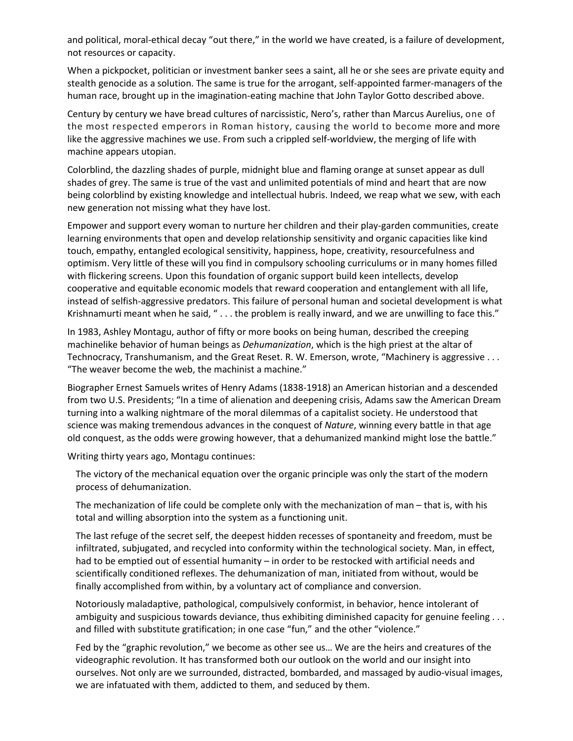and political, moral-ethical decay "out there," in the world we have created, is a failure of development, not resources or capacity.

When a pickpocket, politician or investment banker sees a saint, all he or she sees are private equity and stealth genocide as a solution. The same is true for the arrogant, self-appointed farmer-managers of the human race, brought up in the imagination-eating machine that John Taylor Gotto described above.

Century by century we have bread cultures of narcissistic, Nero's, rather than Marcus Aurelius, one of the most respected emperors in Roman history, causing the world to become more and more like the aggressive machines we use. From such a crippled self-worldview, the merging of life with machine appears utopian.

Colorblind, the dazzling shades of purple, midnight blue and flaming orange at sunset appear as dull shades of grey. The same is true of the vast and unlimited potentials of mind and heart that are now being colorblind by existing knowledge and intellectual hubris. Indeed, we reap what we sew, with each new generation not missing what they have lost.

Empower and support every woman to nurture her children and their play-garden communities, create learning environments that open and develop relationship sensitivity and organic capacities like kind touch, empathy, entangled ecological sensitivity, happiness, hope, creativity, resourcefulness and optimism. Very little of these will you find in compulsory schooling curriculums or in many homes filled with flickering screens. Upon this foundation of organic support build keen intellects, develop cooperative and equitable economic models that reward cooperation and entanglement with all life, instead of selfish-aggressive predators. This failure of personal human and societal development is what Krishnamurti meant when he said, " . . . the problem is really inward, and we are unwilling to face this."

In 1983, Ashley Montagu, author of fifty or more books on being human, described the creeping machinelike behavior of human beings as *Dehumanization*, which is the high priest at the altar of Technocracy, Transhumanism, and the Great Reset. R. W. Emerson, wrote, "Machinery is aggressive . . . "The weaver become the web, the machinist a machine."

Biographer Ernest Samuels writes of Henry Adams (1838-1918) an American historian and a descended from two U.S. Presidents; "In a time of alienation and deepening crisis, Adams saw the American Dream turning into a walking nightmare of the moral dilemmas of a capitalist society. He understood that science was making tremendous advances in the conquest of *Nature*, winning every battle in that age old conquest, as the odds were growing however, that a dehumanized mankind might lose the battle."

Writing thirty years ago, Montagu continues:

The victory of the mechanical equation over the organic principle was only the start of the modern process of dehumanization.

The mechanization of life could be complete only with the mechanization of man – that is, with his total and willing absorption into the system as a functioning unit.

The last refuge of the secret self, the deepest hidden recesses of spontaneity and freedom, must be infiltrated, subjugated, and recycled into conformity within the technological society. Man, in effect, had to be emptied out of essential humanity – in order to be restocked with artificial needs and scientifically conditioned reflexes. The dehumanization of man, initiated from without, would be finally accomplished from within, by a voluntary act of compliance and conversion.

Notoriously maladaptive, pathological, compulsively conformist, in behavior, hence intolerant of ambiguity and suspicious towards deviance, thus exhibiting diminished capacity for genuine feeling . . . and filled with substitute gratification; in one case "fun," and the other "violence."

Fed by the "graphic revolution," we become as other see us… We are the heirs and creatures of the videographic revolution. It has transformed both our outlook on the world and our insight into ourselves. Not only are we surrounded, distracted, bombarded, and massaged by audio-visual images, we are infatuated with them, addicted to them, and seduced by them.